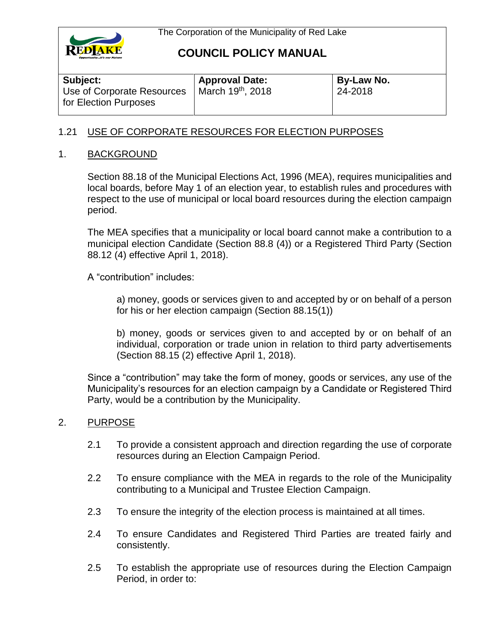

# **COUNCIL POLICY MANUAL**

| Subject:                   | <b>Approval Date:</b> | By-Law No. |
|----------------------------|-----------------------|------------|
| Use of Corporate Resources | March 19th, 2018      | 24-2018    |
| for Election Purposes      |                       |            |

# 1.21 USE OF CORPORATE RESOURCES FOR ELECTION PURPOSES

#### 1. BACKGROUND

Section 88.18 of the Municipal Elections Act, 1996 (MEA), requires municipalities and local boards, before May 1 of an election year, to establish rules and procedures with respect to the use of municipal or local board resources during the election campaign period.

The MEA specifies that a municipality or local board cannot make a contribution to a municipal election Candidate (Section 88.8 (4)) or a Registered Third Party (Section 88.12 (4) effective April 1, 2018).

A "contribution" includes:

a) money, goods or services given to and accepted by or on behalf of a person for his or her election campaign (Section 88.15(1))

b) money, goods or services given to and accepted by or on behalf of an individual, corporation or trade union in relation to third party advertisements (Section 88.15 (2) effective April 1, 2018).

Since a "contribution" may take the form of money, goods or services, any use of the Municipality's resources for an election campaign by a Candidate or Registered Third Party, would be a contribution by the Municipality.

#### 2. PURPOSE

- 2.1 To provide a consistent approach and direction regarding the use of corporate resources during an Election Campaign Period.
- 2.2 To ensure compliance with the MEA in regards to the role of the Municipality contributing to a Municipal and Trustee Election Campaign.
- 2.3 To ensure the integrity of the election process is maintained at all times.
- 2.4 To ensure Candidates and Registered Third Parties are treated fairly and consistently.
- 2.5 To establish the appropriate use of resources during the Election Campaign Period, in order to: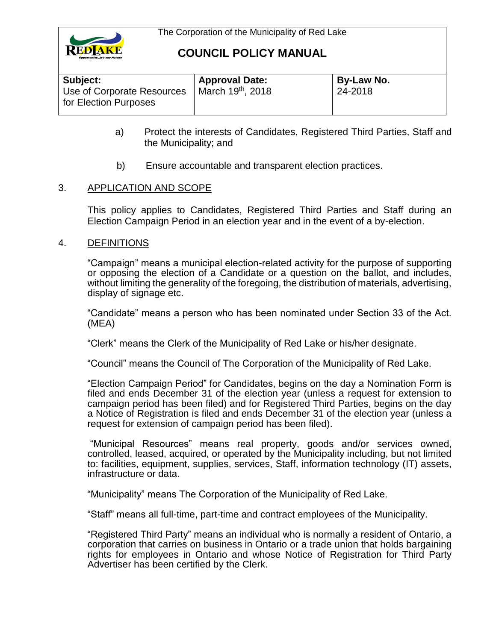

# **COUNCIL POLICY MANUAL**

| Subject:                                            | <b>Approval Date:</b>         | <b>By-Law No.</b> |
|-----------------------------------------------------|-------------------------------|-------------------|
| Use of Corporate Resources<br>for Election Purposes | March 19 <sup>th</sup> , 2018 | 24-2018           |

- a) Protect the interests of Candidates, Registered Third Parties, Staff and the Municipality; and
- b) Ensure accountable and transparent election practices.

## 3. APPLICATION AND SCOPE

This policy applies to Candidates, Registered Third Parties and Staff during an Election Campaign Period in an election year and in the event of a by-election.

### 4. DEFINITIONS

"Campaign" means a municipal election-related activity for the purpose of supporting or opposing the election of a Candidate or a question on the ballot, and includes, without limiting the generality of the foregoing, the distribution of materials, advertising, display of signage etc.

"Candidate" means a person who has been nominated under Section 33 of the Act. (MEA)

"Clerk" means the Clerk of the Municipality of Red Lake or his/her designate.

"Council" means the Council of The Corporation of the Municipality of Red Lake.

"Election Campaign Period" for Candidates, begins on the day a Nomination Form is filed and ends December 31 of the election year (unless a request for extension to campaign period has been filed) and for Registered Third Parties, begins on the day a Notice of Registration is filed and ends December 31 of the election year (unless a request for extension of campaign period has been filed).

"Municipal Resources" means real property, goods and/or services owned, controlled, leased, acquired, or operated by the Municipality including, but not limited to: facilities, equipment, supplies, services, Staff, information technology (IT) assets, infrastructure or data.

"Municipality" means The Corporation of the Municipality of Red Lake.

"Staff" means all full-time, part-time and contract employees of the Municipality.

"Registered Third Party" means an individual who is normally a resident of Ontario, a corporation that carries on business in Ontario or a trade union that holds bargaining rights for employees in Ontario and whose Notice of Registration for Third Party Advertiser has been certified by the Clerk.